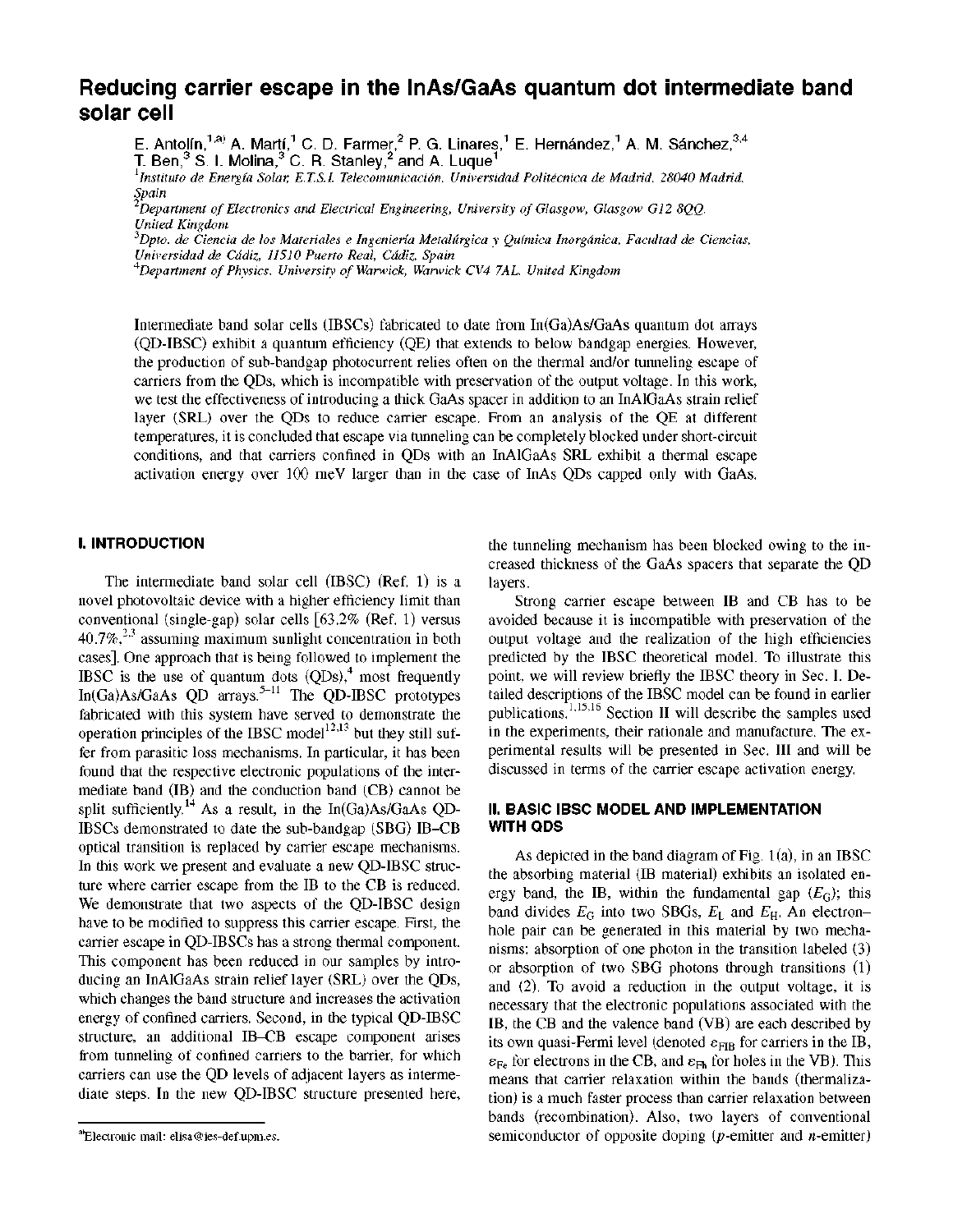# **Reducing carrier escape in the InAs/GaAs quantum dot intermediate band solar cell**

E. Antolín, $^{1, \text{a)}}$  A. Martí, $^{1}$  C. D. Farmer, $^{2}$  P. G. Linares, $^{1}$  E. Hernández, $^{1}$  A. M. Sánchez, $^{3,4}$ T. Ben, $^3$  S. I. Molina, $^3$  C. R. Stanley, $^2$  and A. Luque $^1$ 

*Instituto de Energia Solar, E.T.S.I. Telecomunicacion, Universidad Politecnica de Madrid, 28040 Madrid, Spain* 

*Department of Electronics and Electrical Engineering, University of Glasgow, Glasgow G12 8QQ, United Kingdom* 

*Dpto. de Ciencia de los Materiales e Ingenieria Metalurgica y Quimica Inorgdnica, Facultad de Ciencias, Universidad de Cadiz, 11510 Puerto Real, Cadiz, Spain* 

*Department of Physics, University of Warwick, Warwick CV4 7AL, United Kingdom* 

Intermediate band solar cells (IBSCs) fabricated to date from In(Ga)As/GaAs quantum dot arrays (QD-IBSC) exhibit a quantum efficiency (QE) that extends to below bandgap energies. However, the production of sub-bandgap photocurrent relies often on the thermal and/or tunneling escape of carriers from the QDs, which is incompatible with preservation of the output voltage. In this work, we test the effectiveness of introducing a thick GaAs spacer in addition to an InAlGaAs strain relief layer (SRL) over the QDs to reduce carrier escape. From an analysis of the QE at different temperatures, it is concluded that escape via tunneling can be completely blocked under short-circuit conditions, and that carriers confined in QDs with an InAlGaAs SRL exhibit a thermal escape activation energy over 100 meV larger than in the case of InAs QDs capped only with GaAs.

# **I. INTRODUCTION**

The intermediate band solar cell (IBSC) (Ref. 1) is a novel photovoltaic device with a higher efficiency limit than conventional (single-gap) solar cells [63.2% (Ref. 1) versus  $40.7\%$ <sup>2,3</sup> assuming maximum sunlight concentration in both cases]. One approach that is being followed to implement the IBSC is the use of quantum dots  $(QDs)$ ,<sup>4</sup> most frequently In(Ga)As/GaAs  $QD$  arrays.<sup>5-11</sup> The QD-IBSC prototypes fabricated with this system have served to demonstrate the operation principles of the IBSC model<sup>12,13</sup> but they still suffer from parasitic loss mechanisms. In particular, it has been found that the respective electronic populations of the intermediate band (IB) and the conduction band (CB) cannot be split sufficiently.<sup>14</sup> As a result, in the In(Ga)As/GaAs OD-IBSCs demonstrated to date the sub-bandgap (SBG) IB-CB optical transition is replaced by carrier escape mechanisms. In this work we present and evaluate a new QD-IBSC structure where carrier escape from the IB to the CB is reduced. We demonstrate that two aspects of the QD-IBSC design have to be modified to suppress this carrier escape. First, the carrier escape in QD-IBSCs has a strong thermal component. This component has been reduced in our samples by introducing an InAlGaAs strain relief layer (SRL) over the QDs, which changes the band structure and increases the activation energy of confined carriers. Second, in the typical QD-IBSC structure, an additional IB-CB escape component arises from tunneling of confined carriers to the barrier, for which carriers can use the QD levels of adjacent layers as intermediate steps. In the new QD-IBSC structure presented here,

the tunneling mechanism has been blocked owing to the increased thickness of the GaAs spacers that separate the QD layers.

Strong carrier escape between IB and CB has to be avoided because it is incompatible with preservation of the output voltage and the realization of the high efficiencies predicted by the IBSC theoretical model. To illustrate this point, we will review briefly the IBSC theory in Sec. I. Detailed descriptions of the IBSC model can be found in earlier publications.<sup>1,15,16</sup> Section II will describe the samples used in the experiments, their rationale and manufacture. The experimental results will be presented in Sec. Ill and will be discussed in terms of the carrier escape activation energy.

# **II. BASIC IBSC MODEL AND IMPLEMENTATION WITH QDS**

As depicted in the band diagram of Fig.  $1(a)$ , in an IBSC the absorbing material (IB material) exhibits an isolated energy band, the IB, within the fundamental gap  $(E_G)$ ; this band divides  $E_G$  into two SBGs,  $E_L$  and  $E_H$ . An electronhole pair can be generated in this material by two mechanisms: absorption of one photon in the transition labeled (3) or absorption of two SBG photons through transitions (1) and (2). To avoid a reduction in the output voltage, it is necessary that the electronic populations associated with the IB, the CB and the valence band (VB) are each described by its own quasi-Fermi level (denoted  $\varepsilon_{\text{FIB}}$  for carriers in the IB,  $\varepsilon_{\text{Fe}}$  for electrons in the CB, and  $\varepsilon_{\text{Fh}}$  for holes in the VB). This means that carrier relaxation within the bands (thermalization) is a much faster process than carrier relaxation between bands (recombination). Also, two layers of conventional semiconductor of opposite doping ( $p$ -emitter and  $n$ -emitter)

Electronic mail: [elisa@ies-def.upm.es.](mailto:elisa@ies-def.upm.es)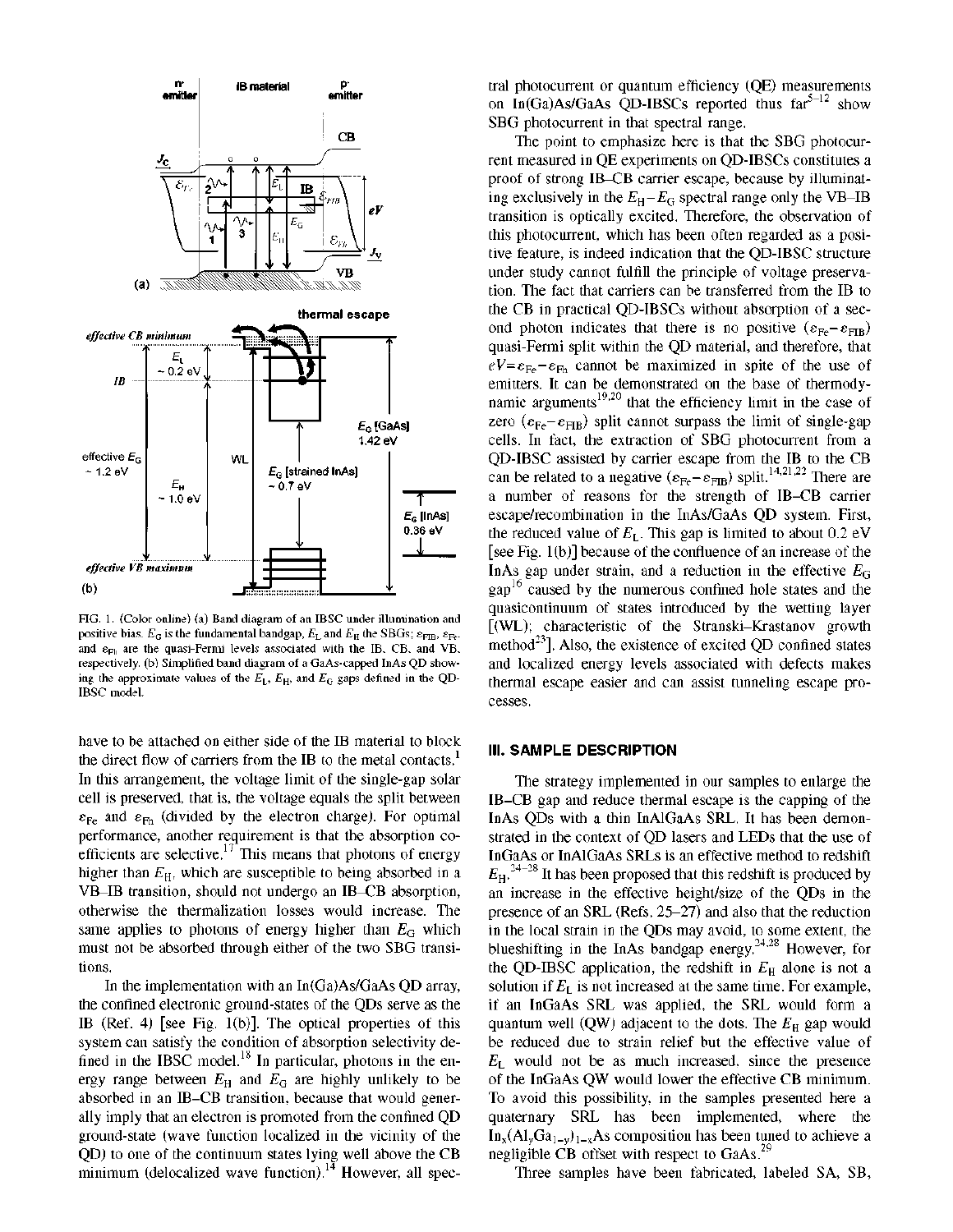

FIG. 1. (Color online) (a) Band diagram of an IBSC under illumination and positive bias.  $E_G$  is the fundamental bandgap,  $E_L$  and  $E_H$  the SBGs;  $\varepsilon_{\rm FIB}$ ,  $\varepsilon_{\rm Fe}$ , and  $\varepsilon_{Fh}$  are the quasi-Fermi levels associated with the IB, CB, and VB, respectively, (b) Simplified band diagram of a GaAs-capped InAs QD showing the approximate values of the  $E_L$ ,  $E_H$ , and  $E_G$  gaps defined in the QD-IBSC model.

have to be attached on either side of the IB material to block the direct flow of carriers from the IB to the metal contacts.<sup>1</sup> In this arrangement, the voltage limit of the single-gap solar cell is preserved, that is, the voltage equals the split between  $\varepsilon_{\text{Fe}}$  and  $\varepsilon_{\text{Fh}}$  (divided by the electron charge). For optimal performance, another requirement is that the absorption coefficients are selective.<sup>17</sup> This means that photons of energy higher than  $E_H$ , which are susceptible to being absorbed in a VB-IB transition, should not undergo an IB-CB absorption, otherwise the thermalization losses would increase. The same applies to photons of energy higher than *EG* which must not be absorbed through either of the two SBG transitions.

In the implementation with an In(Ga)As/GaAs QD array, the confined electronic ground-states of the QDs serve as the IB (Ref. 4) [see Fig. 1(b)]. The optical properties of this system can satisfy the condition of absorption selectivity defined in the IBSC model.<sup>18</sup> In particular, photons in the enfined in the IBSC model. In particular, photons in the en-<br>area cancel between  $F$  and  $F$  are bigbly validaty to be ergy range between *EH* and *EG* are highly unlikely to be absorbed in an IB-CB transition, because that would generally imply that an electron is promoted from the confined QD ground-state (wave function localized in the vicinity of the QD) to one of the continuum states lying well above the CB QD) to one of the continuum states lying well above the CB minimum (delocalized wave function). However, all spectral photocurrent or quantum efficiency (QE) measurements on In(Ga)As/GaAs QD-IBSCs reported thus  $far^{5-12}$  show SBG photocurrent in that spectral range.

The point to emphasize here is that the SBG photocurrent measured in QE experiments on QD-IBSCs constitutes a proof of strong IB-CB carrier escape, because by illuminating exclusively in the  $E_H - E_G$  spectral range only the VB-IB transition is optically excited. Therefore, the observation of this photocurrent, which has been often regarded as a positive feature, is indeed indication that the QD-IBSC structure under study cannot fulfill the principle of voltage preservation. The fact that carriers can be transferred from the IB to the CB in practical QD-IBSCs without absorption of a second photon indicates that there is no positive  $(\epsilon_{F_e} - \epsilon_{FIR})$ quasi-Fermi split within the QD material, and therefore, that  $eV = \varepsilon_{\text{Fe}} - \varepsilon_{\text{Fh}}$  cannot be maximized in spite of the use of emitters. It can be demonstrated on the base of thermodynamic arguments<sup>19,20</sup> that the efficiency limit in the case of zero ( $\varepsilon_{\text{Fe}}$ - $\varepsilon_{\text{FIB}}$ ) split cannot surpass the limit of single-gap cells. In fact, the extraction of SBG photocurrent from a QD-IBSC assisted by carrier escape from the IB to the CB can be related to a negative  $(\varepsilon_{E} - \varepsilon_{FIR})$  split  $^{14,21,22}$  There are a number of reasons for the strength of IB-CB carrier escape/recombination in the InAs/GaAs QD system. First, the reduced value of  $E_L$ . This gap is limited to about 0.2 eV [see Fig. 1 (b)] because of the confluence of an increase of the InAs gap under strain, and a reduction in the effective  $E_G$  $\frac{16}{2}$  caused by the numerous confined hole states and the quasicontinuum of states introduced by the wetting layer [(WL); characteristic of the Stranski-Krastanov growth method<sup>23</sup>]. Also, the existence of excited OD confined states and localized energy levels associated with defects makes thermal escape easier and can assist tunneling escape processes.

#### **Ill. SAMPLE DESCRIPTION**

The strategy implemented in our samples to enlarge the IB-CB gap and reduce thermal escape is the capping of the InAs QDs with a thin InAlGaAs SRL. It has been demonstrated in the context of QD lasers and LEDs that the use of InGaAs or InAlGaAs SRLs is an effective method to redshift  $E_{\rm H}$ ,  $^{24-28}$  It has been proposed that this redshift is produced by an increase in the effective height/size of the QDs in the presence of an SRL (Refs.  $25-27$ ) and also that the reduction in the local strain in the QDs may avoid, to some extent, the blueshifting in the InAs bandgap energy.<sup>24,28</sup> However, for 24 28 the QD-1BSC application, the redshift in  $E_{\rm H}$  alone is not a solution if  $E_L$  is not increased at the same time. For example, if an InGaAs SRL was applied, the SRL would form a quantum well (QW) adjacent to the dots. The  $E_H$  gap would be reduced due to strain relief but the effective value of  $E_L$  would not be as much increased, since the presence of the InGaAs QW would lower the effective CB minimum. To avoid this possibility, in the samples presented here a quaternary SRL has been implemented, where the  $In_x(Al_yGa_{1-y})_{1-x}$ As composition has been tuned to achieve a negligible CB offset with respect to GaAs.<sup>29</sup>

Three samples have been fabricated, labeled SA, SB, negligible CB offset with respect to GaAs.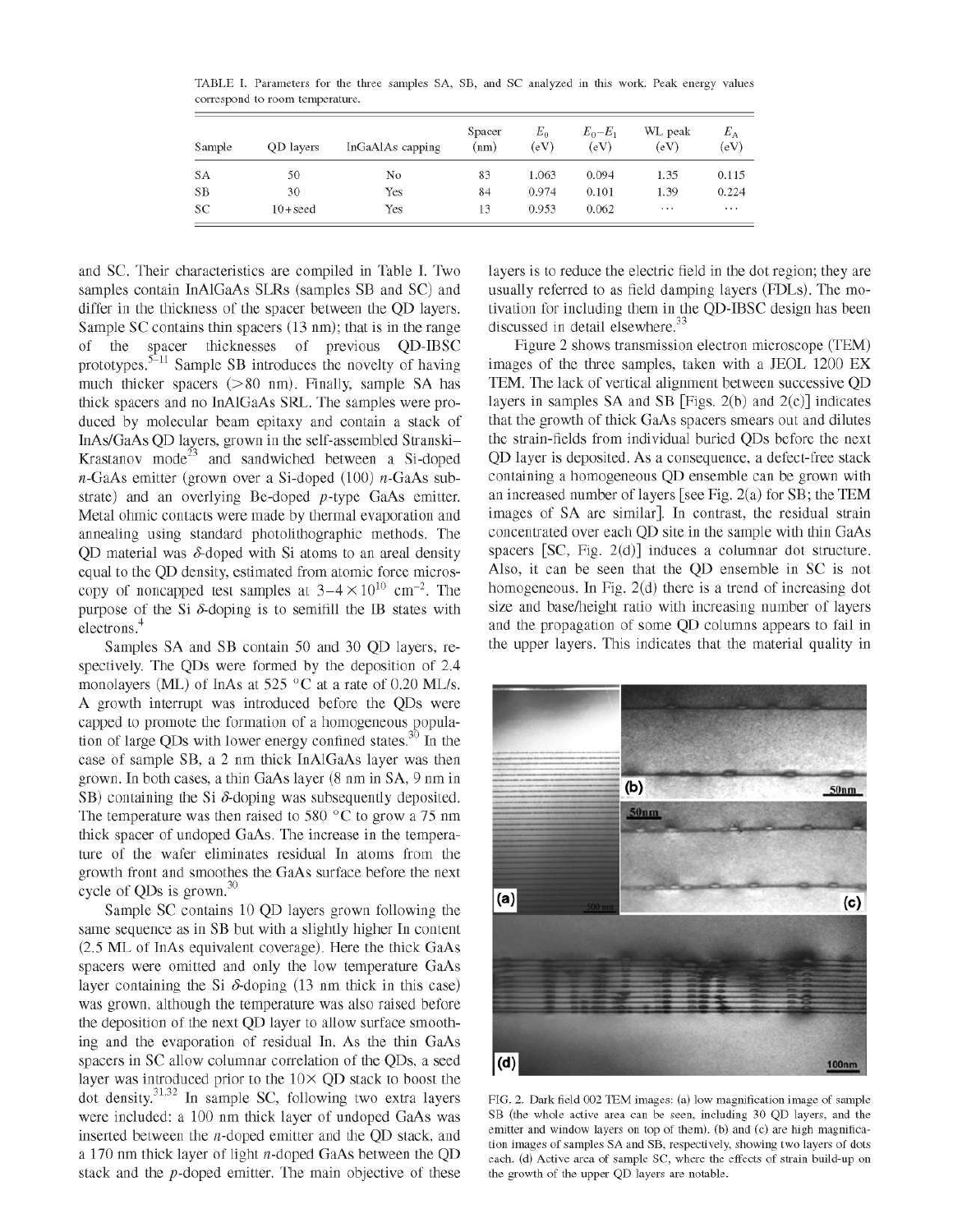TABLE I. Parameters for the three samples SA, SB, and SC analyzed in this work. Peak energy values correspond to room temperature.

| Sample    | OD layers | InGaAlAs capping | Spacer<br>(nm) | $E_0$<br>(eV) | $E_0-E_1$<br>(eV) | WL peak<br>(eV) | $E_{\rm A}$<br>(eV) |
|-----------|-----------|------------------|----------------|---------------|-------------------|-----------------|---------------------|
| <b>SA</b> | 50        | No               | 83             | 1.063         | 0.094             | 1.35            | 0.115               |
| SB        | 30        | Yes              | 84             | 0.974         | 0.101             | 1.39            | 0.224               |
| SC        | $10+seed$ | Yes              | 13             | 0.953         | 0.062             | $\cdots$        | $\cdots$            |

and SC. Their characteristics are compiled in Table I. Two samples contain InAlGaAs SLRs (samples SB and SC) and differ in the thickness of the spacer between the QD layers. Sample SC contains thin spacers (13 nm); that is in the range of the spacer thicknesses of previous QD-IBSC prototypes.<sup>5–11</sup> Sample SB introduces the novelty of having much thicker spacers (>80 nm). Finally, sample SA has thick spacers and no InAlGaAs SRL. The samples were produced by molecular beam epitaxy and contain a stack of InAs/GaAs QD layers, grown in the self-assembled Stranski-Krastanov mode<sup>23</sup> and sandwiched between a Si-doped  $n$ -GaAs emitter (grown over a Si-doped (100)  $n$ -GaAs substrate) and an overlying Be-doped p-type GaAs emitter. Metal ohmic contacts were made by thermal evaporation and annealing using standard photolithographic methods. The QD material was  $\delta$ -doped with Si atoms to an areal density equal to the QD density, estimated from atomic force microscopy of noncapped test samples at  $3-4 \times 10^{10}$  cm<sup>-2</sup>. The purpose of the Si  $\delta$ -doping is to semifill the IB states with electrons.<sup>4</sup>

Samples SA and SB contain 50 and 30 QD layers, respectively. The QDs were formed by the deposition of 2.4 monolayers (ML) of InAs at 525  $\,^{\circ}$ C at a rate of 0.20 ML/s. A growth interrupt was introduced before the QDs were capped to promote the formation of a homogeneous population of large QDs with lower energy confined states.<sup>30</sup> In the case of sample SB, a 2 nm thick InAlGaAs layer was then grown. In both cases, a thin GaAs layer  $(8 \text{ nm in SA}, 9 \text{ nm in})$ SB) containing the Si  $\delta$ -doping was subsequently deposited. The temperature was then raised to 580 $\degree$ C to grow a 75 nm thick spacer of undoped GaAs. The increase in the temperature of the wafer eliminates residual In atoms from the growth front and smoothes the GaAs surface before the next eyouth from and smoothes the GaAs surface before the next eyele of QDs is grown.<sup>30</sup>

Sample SC contains 10 QD layers grown following the same sequence as in SB but with a slightly higher In content  $(2.5$  ML of InAs equivalent coverage). Here the thick GaAs spacers were omitted and only the low temperature GaAs layer containing the Si  $\delta$ -doping (13 nm thick in this case) was grown, although the temperature was also raised before the deposition of the next QD layer to allow surface smoothing and the evaporation of residual In. As the thin GaAs spacers in SC allow columnar correlation of the ODs, a seed layer was introduced prior to the  $10\times$  QD stack to boost the dot density.<sup>31,32</sup> In sample SC, following two extra layers were included: a 100 nm thick layer of undoped GaAs was inserted between the  $n$ -doped emitter and the OD stack, and a 170 nm thick layer of light  $n$ -doped GaAs between the QD stack and the  $p$ -doped emitter. The main objective of these

layers is to reduce the electric field in the dot region; they are usually referred to as field damping layers (FDLs). The motivation for including them in the QD-IBSC design has been discussed in detail elsewhere.<sup>33</sup>

Figure 2 shows transmission electron microscope (TEM) images of the three samples, taken with a JEOL 1200 EX TEM. The lack of vertical alignment between successive QD layers in samples SA and SB [Figs.  $2(b)$  and  $2(c)$ ] indicates that the growth of thick GaAs spacers smears out and dilutes the strain-fields from individual buried QDs before the next QD layer is deposited. As a consequence, a defect-free stack containing a homogeneous QD ensemble can be grown with an increased number of layers [see Fig. 2(a) for SB; the TEM images of SA are similar]. In contrast, the residual strain concentrated over each QD site in the sample with thin GaAs spacers [SC, Fig. 2(d)] induces a columnar dot structure. Also, it can be seen that the QD ensemble in SC is not homogeneous. In Fig. 2(d) there is a trend of increasing dot size and base/height ratio with increasing number of layers and the propagation of some QD columns appears to fail in the upper layers. This indicates that the material quality in



FIG. 2. Dark field 002 TEM images: (a) low magnification image of sample SB (the whole active area can be seen, including 30 QD layers, and the emitter and window layers on top of them), (b) and (c) are high magnification images of samples SA and SB, respectively, showing two layers of dots each, (d) Active area of sample SC, where the effects of strain build-up on the growth of the upper QD layers are notable.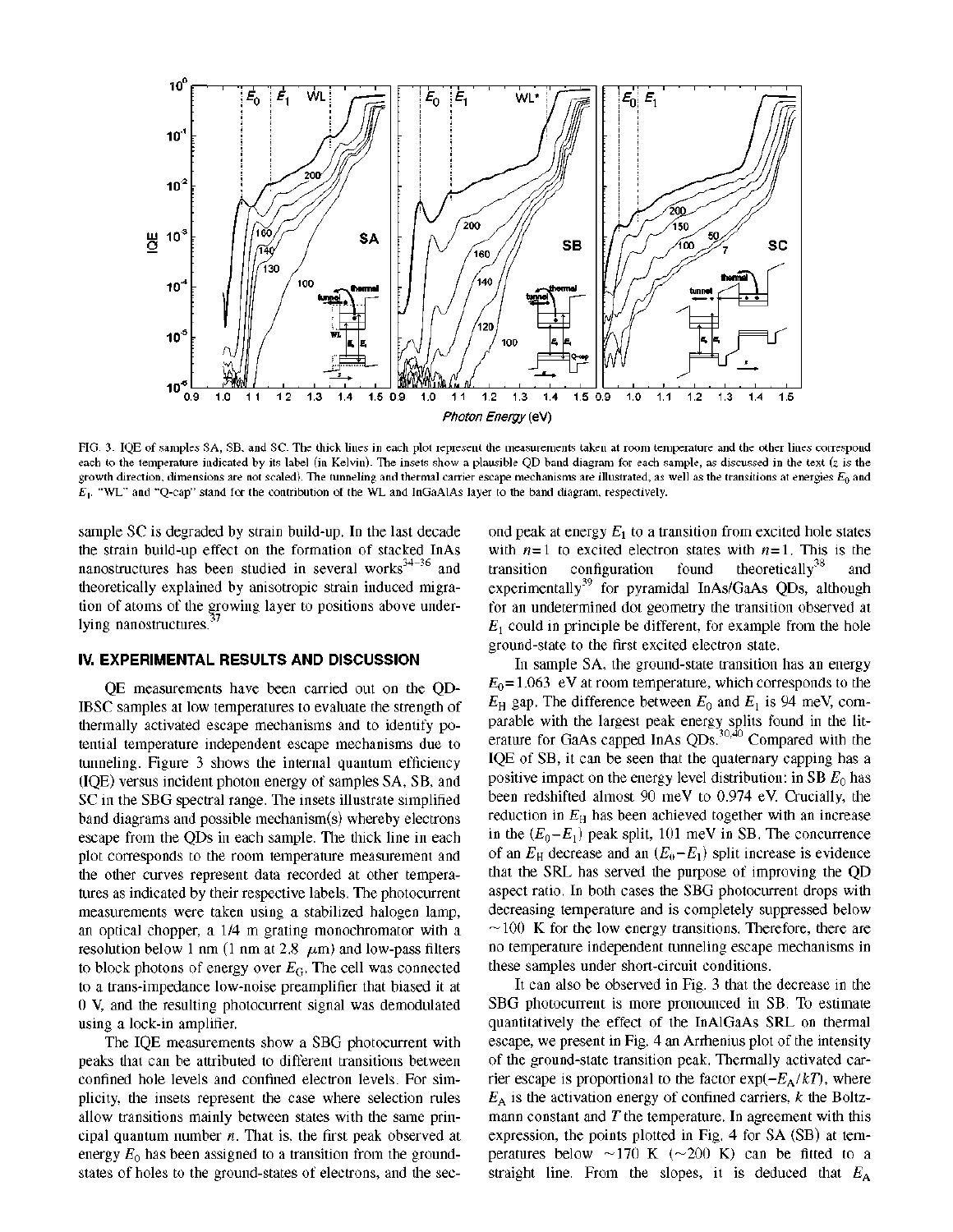

FIG. 3. IQE of samples SA, SB, and SC. The thick lines in each plot represent the measurements taken at room temperature and the other lines correspond each to the temperature indicated by its label (in Kelvin). The insets show a plausible QD band diagram for each sample, as discussed in the text (z is the growth direction, dimensions are not scaled). The tunneling and thermal carrier escape mechanisms are illustrated, as well as the transitions at energies  $E_0$  and *Ei.* "WL" and "Q-cap" stand for the contribution of the WL and InGaAlAs layer to the band diagram, respectively.

sample SC is degraded by strain build-up. In the last decade the strain build-up effect on the formation of stacked InAs nanostructures has been studied in several works $34-36$  and theoretically explained by anisotropic strain induced migration of atoms of the growing layer to positions above under lying nanostructures. **37** 

# **IV. EXPERIMENTAL RESULTS AND DISCUSSION**

QE measurements have been carried out on the QD-IBSC samples at low temperatures to evaluate the strength of thermally activated escape mechanisms and to identify potential temperature independent escape mechanisms due to tunneling. Figure 3 shows the internal quantum efficiency (IQE) versus incident photon energy of samples SA, SB, and SC in the SBG spectral range. The insets illustrate simplified band diagrams and possible mechanism(s) whereby electrons escape from the QDs in each sample. The thick line in each plot corresponds to the room temperature measurement and the other curves represent data recorded at other temperatures as indicated by their respective labels. The photocurrent measurements were taken using a stabilized halogen lamp, an optical chopper, a 1/4 m grating monochromator with a resolution below 1 nm (1 nm at 2.8  $\mu$ m) and low-pass filters to block photons of energy over *EG.* The cell was connected to a trans-impedance low-noise preamplifier that biased it at 0 V, and the resulting photocurrent signal was demodulated using a lock-in amplifier.

The IQE measurements show a SBG photocurrent with peaks that can be attributed to different transitions between confined hole levels and confined electron levels. For simplicity, the insets represent the case where selection rules allow transitions mainly between states with the same principal quantum number *n.* That is, the first peak observed at energy  $E_0$  has been assigned to a transition from the groundstates of holes to the ground-states of electrons, and the second peak at energy  $E_1$  to a transition from excited hole states with  $n=1$  to excited electron states with  $n=1$ . This is the transition configuration found theoretically<sup>38</sup> and theoretically<sup>38</sup> experimentally<sup>39</sup> for pyramidal InAs/GaAs QDs, although for an undetermined dot geometry the transition observed at  $E_1$  could in principle be different, for example from the hole **E**<sup>1</sup> eround-state to the first excited electron state.

In sample SA, the ground-state transition has an energy  $E_0$ =1.063 eV at room temperature, which corresponds to the  $E_{\rm H}$  gap. The difference between  $E_0$  and  $E_1$  is 94 meV, com-*E*<sub>*H*</sub> gap and the difference between *E*<sub>*H*</sub> gap. *E*<sub>*H*</sub> and *E*<sub>*H*</sub> is 94 meV, comparison *E*<sub>*H*</sub> and *E*<sub>*H*</sub> and *E*<sub>*H*</sub> and *E*<sub>*H*</sub> and *E*<sub>*H*</sub> and *E*<sub>*H*</sub> and *E*<sub>*H*</sub> and *E*<sub>*H*</sub> and *E*<sub>*H*</sub> and *E*<sub>*H*</sub> erature for GaAs capped InAs  $QDs$ ,  $^{50,40}$  Compared with the IQE of SB, it can be seen that the quaternary capping has a positive impact on the energy level distribution: in SB  $E_0$  has been redshifted almost 90 meV to 0.974 eV. Crucially, the reduction in  $E<sub>H</sub>$  has been achieved together with an increase in the  $(E_0 - E_1)$  peak split, 101 meV in SB. The concurrence of an  $E_H$  decrease and an  $(E_0 - E_1)$  split increase is evidence that the SRL has served the purpose of improving the QD aspect ratio. In both cases the SBG photocurrent drops with decreasing temperature and is completely suppressed below  $\sim$ 100 K for the low energy transitions. Therefore, there are no temperature independent tunneling escape mechanisms in these samples under short-circuit conditions.

It can also be observed in Fig. 3 that the decrease in the SBG photocurrent is more pronounced in SB. To estimate quantitatively the effect of the InAlGaAs SRL on thermal escape, we present in Fig. 4 an Arrhenius plot of the intensity of the ground-state transition peak. Thermally activated carrier escape is proportional to the factor  $\exp(-E_A/kT)$ , where  $E_A$  is the activation energy of confined carriers, k the Boltz-*F*<sub>*A*</sub> mann constant and *T* the temperature. In agreement with this expression, the points plotted in Fig. 4 for SA (SB) at temperatures below  $\sim$ 170 K ( $\sim$ 200 K) can be fitted to a straight line. From the slopes, it is deduced that  $E_A$ straight line. From the slopes, it is deduced that *EA*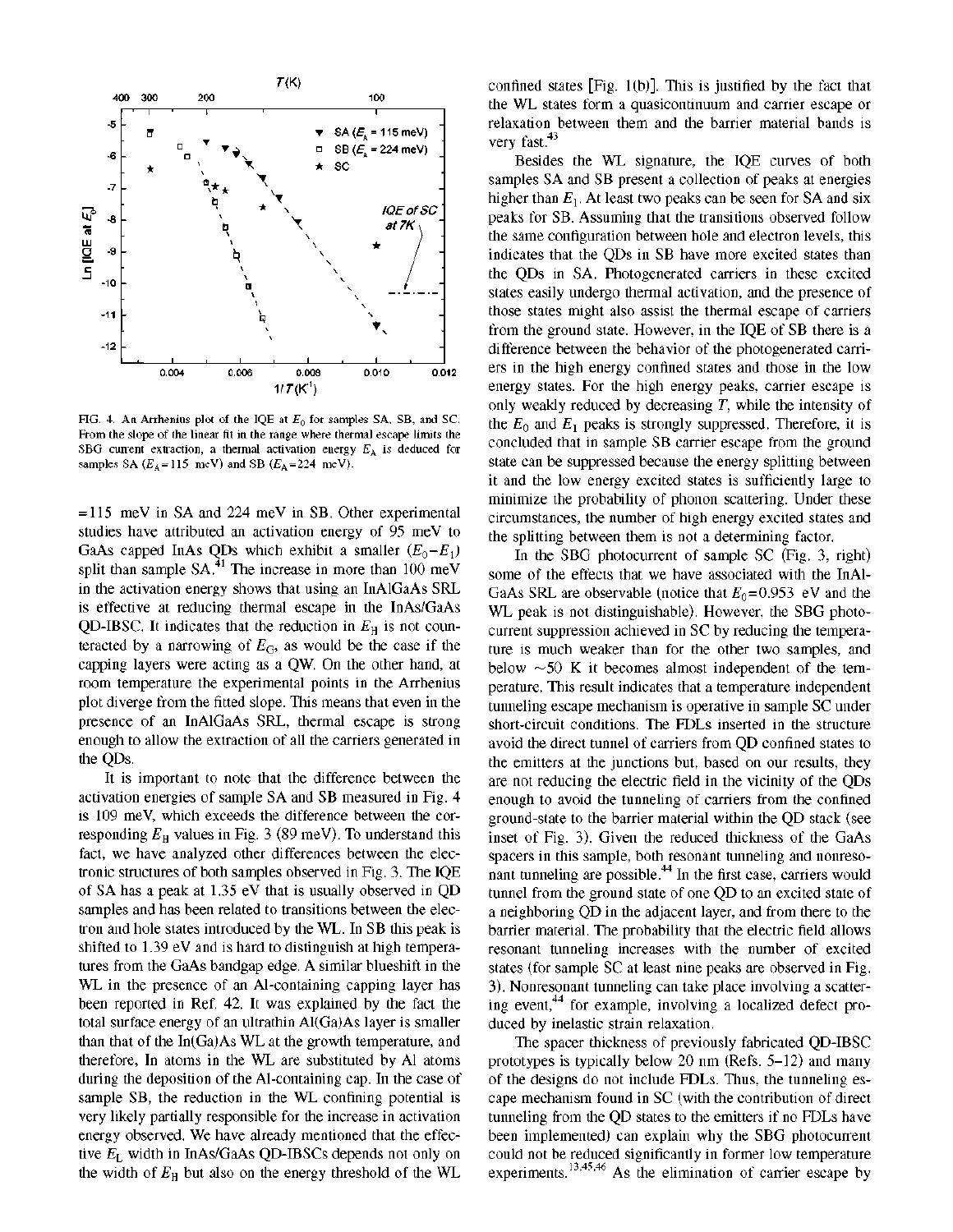

FIG. 4. An Arrhenius plot of the IQE at *E0* for samples SA, SB, and SC. From the slope of the linear fit in the range where thermal escape limits the SBG current extraction, a thermal activation energy *EA* is deduced for samples SA ( $E_A$ =115 meV) and SB ( $E_A$ =224 meV).

= 115 meV in SA and 224 meV in SB. Other experimental studies have attributed an activation energy of 95 meV to GaAs capped InAs QDs which exhibit a smaller  $(E_0 - E_1)$ split than sample  $SA<sup>31</sup>$ . The increase in more than 100 meV in the activation energy shows that using an InAlGaAs SRL is effective at reducing thermal escape in the InAs/GaAs QD-IBSC. It indicates that the reduction in  $E_H$  is not counteracted by a narrowing of  $E_G$ , as would be the case if the capping layers were acting as a QW. On the other hand, at room temperature the experimental points in the Arrhenius plot diverge from the fitted slope. This means that even in the presence of an InAlGaAs SRL, thermal escape is strong enough to allow the extraction of all the carriers generated in the QDs.

It is important to note that the difference between the activation energies of sample SA and SB measured in Fig. 4 is 109 meV, which exceeds the difference between the corresponding  $E<sub>H</sub>$  values in Fig. 3 (89 meV). To understand this fact, we have analyzed other differences between the electronic structures of both samples observed in Fig. 3. The IQE of SA has a peak at 1.35 eV that is usually observed in QD samples and has been related to transitions between the electron and hole states introduced by the WL. In SB this peak is shifted to 1.39 eV and is hard to distinguish at high temperatures from the GaAs bandgap edge. A similar blueshift in the WL in the presence of an Al-containing capping layer has been reported in Ref. 42. It was explained by the fact the total surface energy of an ultrathin Al(Ga)As layer is smaller than that of the In(Ga)As WL at the growth temperature, and therefore, In atoms in the WL are substituted by Al atoms during the deposition of the Al-containing cap. In the case of sample SB, the reduction in the WL confining potential is very likely partially responsible for the increase in activation energy observed. We have already mentioned that the effective *EL* width in InAs/GaAs QD-IBSCs depends not only on the width of *EE* but also on the energy threshold of the WL

confined states [Fig. 1(b)]. This is justified by the fact that the WL states form a quasicontinuum and carrier escape or relaxation between them and the barrier material bands is very fast. $43$ 

Besides the WL signature, the IQE curves of both samples SA and SB present a collection of peaks at energies higher than  $E_1$ . At least two peaks can be seen for SA and six peaks for SB. Assuming that the transitions observed follow the same configuration between hole and electron levels, this indicates that the QDs in SB have more excited states than the QDs in SA. Photogenerated carriers in these excited states easily undergo thermal activation, and the presence of those states might also assist the thermal escape of carriers from the ground state. However, in the IQE of SB there is a difference between the behavior of the photogenerated carriers in the high energy confined states and those in the low energy states. For the high energy peaks, carrier escape is only weakly reduced by decreasing *T,* while the intensity of the  $E_0$  and  $E_1$  peaks is strongly suppressed. Therefore, it is concluded that in sample SB carrier escape from the ground state can be suppressed because the energy splitting between it and the low energy excited states is sufficiently large to minimize the probability of phonon scattering. Under these circumstances, the number of high energy excited states and the splitting between them is not a determining factor.

In the SBG photocurrent of sample SC (Fig. 3, right) some of the effects that we have associated with the InAl-GaAs SRL are observable (notice that  $E_0 = 0.953$  eV and the WL peak is not distinguishable). However, the SBG photocurrent suppression achieved in SC by reducing the temperature is much weaker than for the other two samples, and below  $\sim$  50 K it becomes almost independent of the temperature. This result indicates that a temperature independent tunneling escape mechanism is operative in sample SC under short-circuit conditions. The FDLs inserted in the structure avoid the direct tunnel of carriers from QD confined states to the emitters at the junctions but, based on our results, they are not reducing the electric field in the vicinity of the QDs enough to avoid the tunneling of carriers from the confined ground-state to the barrier material within the QD stack (see inset of Fig. 3). Given the reduced thickness of the GaAs spacers in this sample, both resonant tunneling and nonresonant tunneling are possible.<sup>44</sup> In the first case, carriers would tunnel from the ground state of one QD to an excited state of a neighboring QD in the adjacent layer, and from there to the barrier material. The probability that the electric field allows resonant tunneling increases with the number of excited states (for sample SC at least nine peaks are observed in Fig. 3). Nonresonant tunneling can take place involving a scattering event,<sup>44</sup> for example, involving a localized defect produced by inelastic strain relaxation.

The spacer thickness of previously fabricated QD-IBSC prototypes is typically below 20 nm (Refs. 5-12) and many of the designs do not include FDLs. Thus, the tunneling escape mechanism found in SC (with the contribution of direct tunneling from the QD states to the emitters if no FDLs have been implemented) can explain why the SBG photocurrent could not be reduced significantly in former low temperature experiments.  $^{13,45,46}$  As the elimination of carrier escape by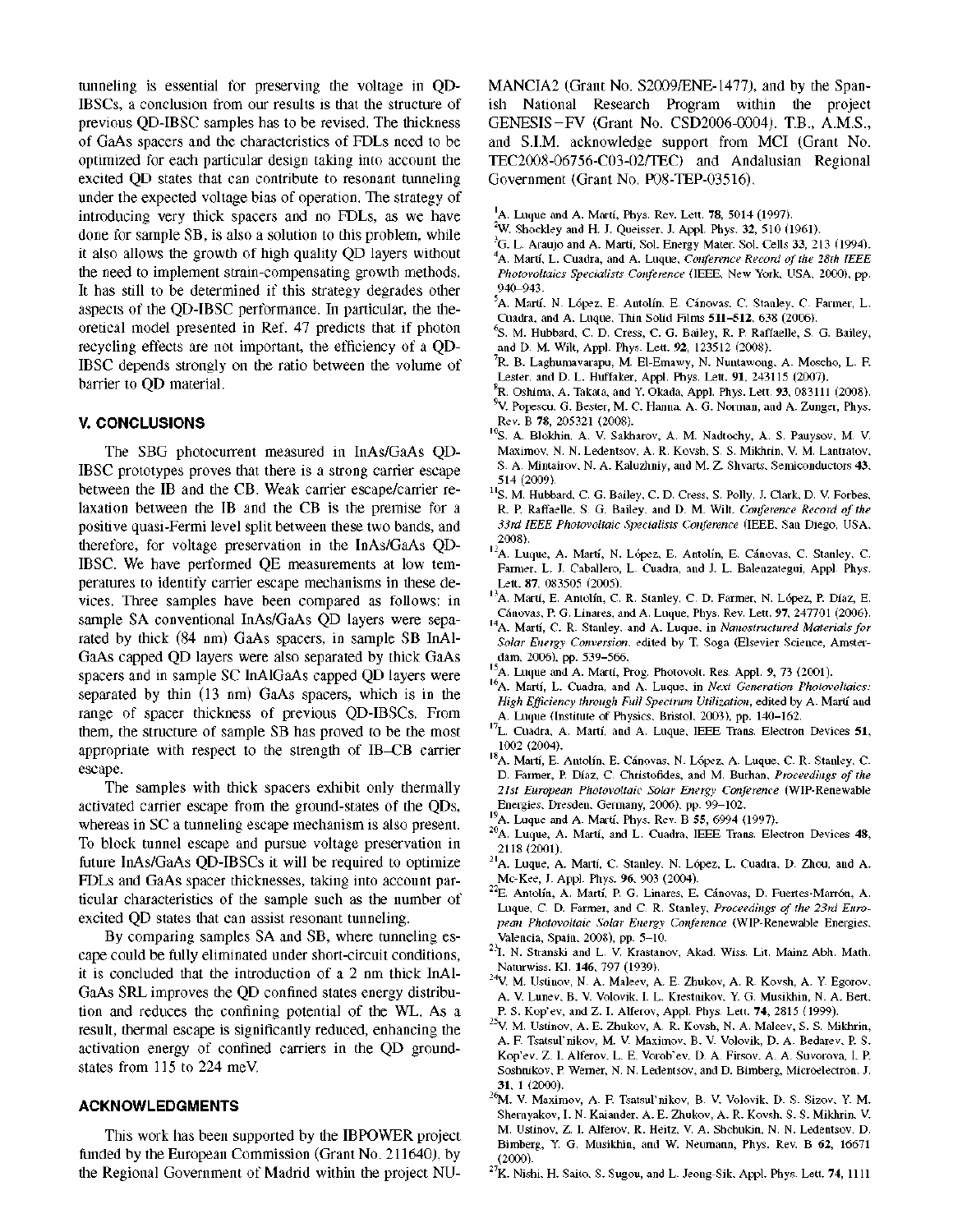tunneling is essential for preserving the voltage in QD-IBSCs, a conclusion from our results is that the structure of previous QD-IBSC samples has to be revised. The thickness of GaAs spacers and the characteristics of FDLs need to be optimized for each particular design taking into account the excited QD states that can contribute to resonant tunneling under the expected voltage bias of operation. The strategy of introducing very thick spacers and no FDLs, as we have done for sample SB, is also a solution to this problem, while it also allows the growth of high quality QD layers without the need to implement strain-compensating growth methods. It has still to be determined if this strategy degrades other aspects of the QD-IBSC performance. In particular, the theoretical model presented in Ref. 47 predicts that if photon recycling effects are not important, the efficiency of a QD-IBSC depends strongly on the ratio between the volume of barrier to QD material.

# **V. CONCLUSIONS**

The SBG photocurrent measured in InAs/GaAs QD-IBSC prototypes proves that there is a strong carrier escape between the IB and the CB. Weak carrier escape/carrier relaxation between the IB and the CB is the premise for a positive quasi-Fermi level split between these two bands, and therefore, for voltage preservation in the InAs/GaAs QD-IBSC. We have performed QE measurements at low temperatures to identify carrier escape mechanisms in these devices. Three samples have been compared as follows: in sample SA conventional InAs/GaAs QD layers were separated by thick (84 nm) GaAs spacers, in sample SB InAl-GaAs capped QD layers were also separated by thick GaAs spacers and in sample SC InAlGaAs capped QD layers were separated by thin (13 nm) GaAs spacers, which is in the range of spacer thickness of previous QD-IBSCs. From them, the structure of sample SB has proved to be the most appropriate with respect to the strength of IB-CB carrier escape.

The samples with thick spacers exhibit only thermally activated carrier escape from the ground-states of the QDs, whereas in SC a tunneling escape mechanism is also present. To block tunnel escape and pursue voltage preservation in future InAs/GaAs QD-IBSCs it will be required to optimize FDLs and GaAs spacer thicknesses, taking into account particular characteristics of the sample such as the number of excited QD states that can assist resonant tunneling.

By comparing samples SA and SB, where tunneling escape could be fully eliminated under short-circuit conditions, it is concluded that the introduction of a 2 nm thick InAl-GaAs SRL improves the QD confined states energy distribution and reduces the confining potential of the WL. As a result, thermal escape is significantly reduced, enhancing the activation energy of confined carriers in the QD groundstates from 115 to 224 meV.

# **ACKNOWLEDGMENTS**

This work has been supported by the IBPOWER project funded by the European Commission (Grant No. 211640), by the Regional Government of Madrid within the project NU-

MANCIA2 (Grant No. S2009/ENE-1477), and by the Spanish National Research Program within the project GENESIS-FV (Grant No. CSD2006-0004). T.B., A.M.S., and S.I.M. acknowledge support from MCI (Grant No. TEC2008-06756-C03-02/TEC) and Andalusian Regional Government (Grant No. P08-TEP-03516).

- 'A. Luque and A. Marti, Phys. Rev. Lett. 78, 5014 (1997).
- <sup>2</sup>W. Shockley and H. J. Queisser, J. Appl. Phys. 32, 510 (1961).
- <sup>3</sup>G. L. Araujo and A. Marti, Sol. Energy Mater. Sol. Cells 33, 213 (1994). A. Marti, L. Cuadra, and A. Luque, *Conference Record of the 28th IEEE Photovoltaics Specialists Conference* (IEEE, New York, USA, 2000), pp. 940-943.
- <sup>5</sup>A. Martí, N. López, E. Antolín, E. Cánovas, C. Stanley, C. Farmer, L. Cuadra, and A. Luque, Thin Solid Films **511-512,** 638 (2006).
- <sup>6</sup>S. M. Hubbard, C. D. Cress, C. G. Bailey, R. P. Raffaelle, S. G. Bailey, and D. M. Wilt, Appl. Phys. Lett. 92, 123512 (2008).
- R. B. Laghumavarapu, M. El-Emawy, N. Nuntawong, A. Moscho, L. F Lester, and D. L. Huffaker, Appl. Phys. Lett. 91, 243115 (2007).
- ${}^{8}$ R. Oshima, A. Takata, and Y. Okada, Appl. Phys. Lett. 93, 083111 (2008).  $^{9}$ V. Popescu, G. Bester, M. C. Hanna, A. G. Norman, and A. Zunger, Phys. Rev. B 78, 205321 (2008).
- <sup>10</sup>S. A. Blokhin, A. V. Sakharov, A. M. Nadtochy, A. S. Pauysov, M. V. Maximov, N. N. Ledentsov, A. R. Kovsh, S. S. Mikhrin, V. M. Lantratov, S. A. Mintairov, N. A. Kaluzhniy, and M. Z. Shvarts, Semiconductors 43, 514 (2009).
- <sup>11</sup>S. M. Hubbard, C. G. Bailey, C. D. Cress, S. Polly, J. Clark, D. V. Forbes, R. P. Raffaelle, S. G. Bailey, and D. M. Wilt, *Conference Record of the 33rd IEEE Photovoltaic Specialists Conference* (IEEE, San Diego, USA, 2008).
- <sup>12</sup>A. Luque, A. Martí, N. López, E. Antolín, E. Cánovas, C. Stanley, C. Farmer, L. J. Caballero, L. Cuadra, and J. L. Balenzategui, Appl. Phys. Lett. 87, 083505 (2005).
- <sup>13</sup>A. Marti, E. Antolin, C. R. Stanley, C. D. Farmer, N. Lopez, P. Diaz, E. Cánovas, P. G. Linares, and A. Luque, Phys. Rev. Lett. 97, 247701 (2006).
- A. Marti, C. R. Stanley, and A. Luque, in *Nanostructured Materials for Solar Energy Conversion,* edited by T. Soga (Elsevier Science, Amsterdam, 2006), pp. 539-566.
- <sup>15</sup>A. Luque and A. Marti, Prog. Photovolt. Res. Appl. 9, 73 (2001).
- A. Marti, L. Cuadra, and A. Luque, in *Next Generation Photovoltaics: High Efficiency through Full Spectrum Utilization,* edited by A. Marti and A. Luque (Institute of Physics, Bristol, 2003), pp. 140-162.
- L. Cuadra, A. Marti, and A. Luque, IEEE Trans. Electron Devices **51.**  1002 (2004).
- <sup>18</sup>A. Marti, E. Antolin, E. Canovas, N. Lopez, A. Luque, C. R. Stanley, C. D. Farmer, P. Diaz, C. Christofides, and M. Burhan, *Proceedings of the 21st European Photovoltaic Solar Energy Conference* (WIP-Renewable Energies, Dresden, Germany, 2006), pp. 99-102.
- <sup>19</sup>A. Luque and A. Marti, Phys. Rev. B **55,** 6994 (1997).
- $^{20}$ A. Luque, A. Martí, and L. Cuadra, IEEE Trans. Electron Devices 48, 2118 (2001).
- <sup>21</sup>A. Luque, A. Martí, C. Stanley, N. López, L. Cuadra, D. Zhou, and A. Mc-Kee, J. Appl. Phys. 96, 903 (2004).
- E. Antolin, A. Marti, P. G. Linares, E. Canovas, D. Fuertes-Marron, A. Luque, C. D. Farmer, and C. R. Stanley, *Proceedings of the 23rd European Photovoltaic Solar Energy Conference* (WIP-Renewable Energies, Valencia, Spain, 2008), pp. 5-10.
- <sup>23</sup>I. N. Stranski and L. V. Krastanov, Akad. Wiss. Lit. Mainz Abh. Math. Naturwiss. Kl. **146,** 797 (1939).
- <sup>24</sup>V. M. Ustinov, N. A. Maleev, A. E. Zhukov, A. R. Kovsh, A. Y. Egorov, A. V. Lunev, B. V. Volovik, I. L. Krestnikov, Y. G. Musikhin, N. A. Bert, P. S. Kop'ev, and Z. I. Alferov, Appl. Phys. Lett. 74, 2815 (1999).
- $^{25}V$ . M. Ustinov, A. E. Zhukov, A. R. Kovsh, N. A. Maleev, S. S. Mikhrin, A. F Tsatsul'nikov, M. V. Maximov, B. V. Volovik, D. A. Bedarev, P. S. Kop'ev, Z. I. Alferov, L. E. Vorob'ev, D. A. Firsov, A. A. Suvorova, I. P. Soshnikov, P. Werner, N. N. Ledentsov, and D. Bimberg, Microelectron. J. 31, 1 (2000).
- <sup>26</sup>M. V. Maximov, A. F. Tsatsul'nikov, B. V. Volovik, D. S. Sizov, Y. M. Shernyakov, I. N. Kaiander, A. E. Zhukov, A. R. Kovsh, S. S. Mikhrin, V. M. Ustinov, Z. I. Alferov, R. Heitz, V. A. Shchukin, N. N. Ledentsov, D. Bimberg, Y G. Musikhin, and W. Neumann, Phys. Rev. B **62,** 16671 (2000).
- $27K$ . Nishi, H. Saito, S. Sugou, and L. Jeong-Sik, Appl. Phys. Lett. 74, 1111